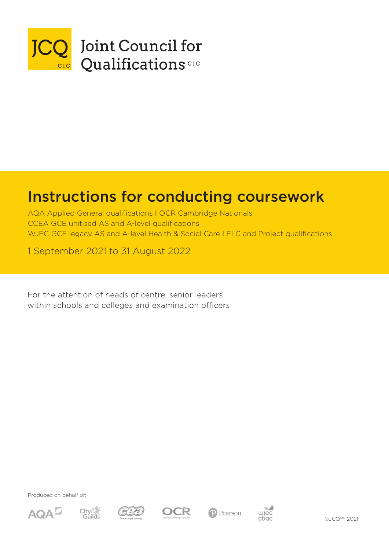

# Instructions for conducting coursework

AQA Applied General qualifications I OCR Cambridge Nationals CCEA GCE unitised AS and A-level qualifications WJEC GCE legacy AS and A-level Health & Social Care I ELC and Project qualifications

1 September 2021 to 31 August 2022

For the attention of heads of centre, senior leaders within schools and colleges and examination officers

Produced on behalf of:









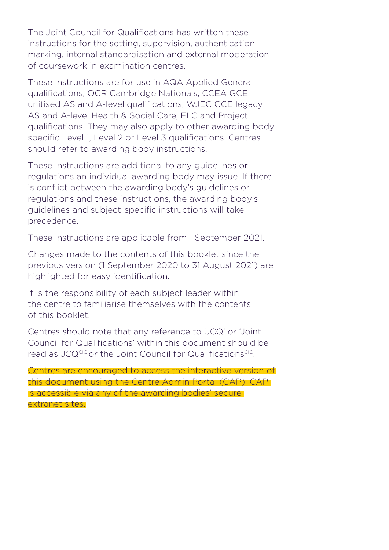The Joint Council for Qualifications has written these instructions for the setting, supervision, authentication, marking, internal standardisation and external moderation of coursework in examination centres.

These instructions are for use in AQA Applied General qualifications, OCR Cambridge Nationals, CCEA GCE unitised AS and A-level qualifications, WJEC GCE legacy AS and A-level Health & Social Care, ELC and Project qualifications. They may also apply to other awarding body specific Level 1, Level 2 or Level 3 qualifications. Centres should refer to awarding body instructions.

These instructions are additional to any guidelines or regulations an individual awarding body may issue. If there is conflict between the awarding body's guidelines or regulations and these instructions, the awarding body's guidelines and subject-specific instructions will take precedence.

These instructions are applicable from 1 September 2021.

Changes made to the contents of this booklet since the previous version (1 September 2020 to 31 August 2021) are highlighted for easy identification.

It is the responsibility of each subject leader within the centre to familiarise themselves with the contents of this booklet.

Centres should note that any reference to 'JCQ' or 'Joint Council for Qualifications' within this document should be read as JCQCIC or the Joint Council for QualificationsCIC.

Centres are encouraged to access the interactive version of this document using the Centre Admin Portal (CAP). CAP is accessible via any of the awarding bodies' secure extranet sites.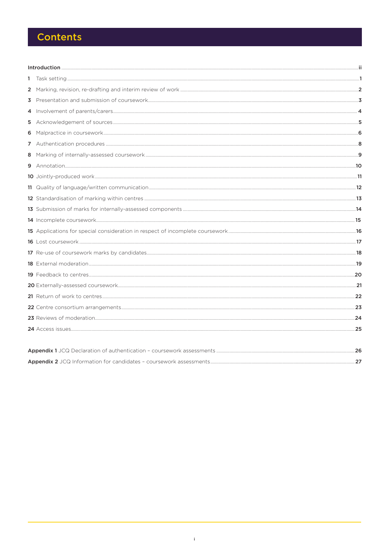# **Contents**

| 1 |  |  |  |
|---|--|--|--|
|   |  |  |  |
|   |  |  |  |
|   |  |  |  |
|   |  |  |  |
| 6 |  |  |  |
|   |  |  |  |
|   |  |  |  |
|   |  |  |  |
|   |  |  |  |
|   |  |  |  |
|   |  |  |  |
|   |  |  |  |
|   |  |  |  |
|   |  |  |  |
|   |  |  |  |
|   |  |  |  |
|   |  |  |  |
|   |  |  |  |
|   |  |  |  |
|   |  |  |  |
|   |  |  |  |
|   |  |  |  |
|   |  |  |  |
|   |  |  |  |
|   |  |  |  |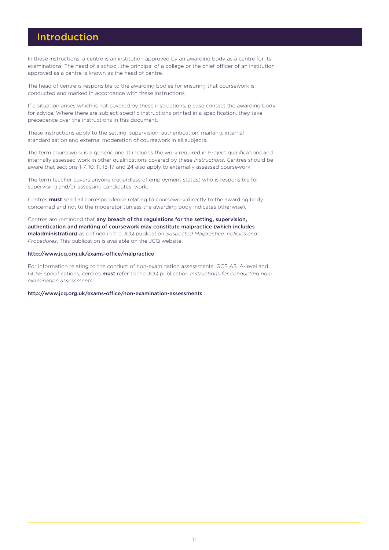### Introduction

In these instructions, a centre is an institution approved by an awarding body as a centre for its examinations. The head of a school, the principal of a college or the chief officer of an institution approved as a centre is known as the head of centre.

The head of centre is responsible to the awarding bodies for ensuring that coursework is conducted and marked in accordance with these instructions.

If a situation arises which is not covered by these instructions, please contact the awarding body for advice. Where there are subject-specific instructions printed in a specification, they take precedence over the instructions in this document.

These instructions apply to the setting, supervision, authentication, marking, internal standardisation and external moderation of coursework in all subjects.

The term coursework is a generic one. It includes the work required in Project qualifications and internally assessed work in other qualifications covered by these *Instructions*. Centres should be aware that sections 1-7, 10, 11, 15-17 and 24 also apply to externally assessed coursework.

The term teacher covers anyone (regardless of employment status) who is responsible for supervising and/or assessing candidates' work.

Centres **must** send all correspondence relating to coursework directly to the awarding body concerned and not to the moderator (unless the awarding body indicates otherwise).

Centres are reminded that any breach of the regulations for the setting, supervision, authentication and marking of coursework may constitute malpractice (which includes maladministration) as defined in the JCQ publication *Suspected Malpractice: Policies and Procedures*. This publication is available on the JCQ website:

#### <http://www.jcq.org.uk/exams-office/malpractice>

For information relating to the conduct of non-examination assessments, GCE AS, A-level and GCSE specifications, centres must refer to the JCQ publication *Instructions for conducting nonexamination assessments:*

<http://www.jcq.org.uk/exams-office/non-examination-assessments>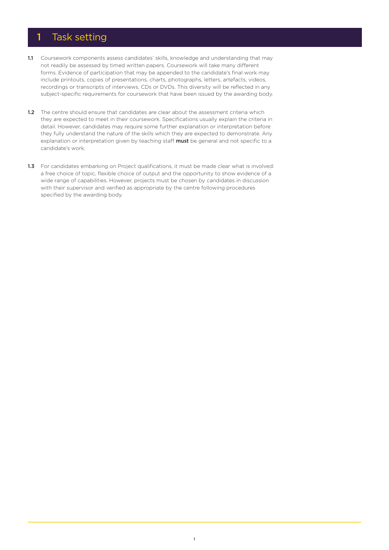### 1 Task setting

- 1.1 Coursework components assess candidates' skills, knowledge and understanding that may not readily be assessed by timed written papers. Coursework will take many different forms. Evidence of participation that may be appended to the candidate's final work may include printouts, copies of presentations, charts, photographs, letters, artefacts, videos, recordings or transcripts of interviews, CDs or DVDs. This diversity will be reflected in any subject-specific requirements for coursework that have been issued by the awarding body.
- 1.2 The centre should ensure that candidates are clear about the assessment criteria which they are expected to meet in their coursework. Specifications usually explain the criteria in detail. However, candidates may require some further explanation or interpretation before they fully understand the nature of the skills which they are expected to demonstrate. Any explanation or interpretation given by teaching staff **must** be general and not specific to a candidate's work.
- 1.3 For candidates embarking on Project qualifications, it must be made clear what is involved: a free choice of topic, flexible choice of output and the opportunity to show evidence of a wide range of capabilities. However, projects must be chosen by candidates in discussion with their supervisor and verified as appropriate by the centre following procedures specified by the awarding body.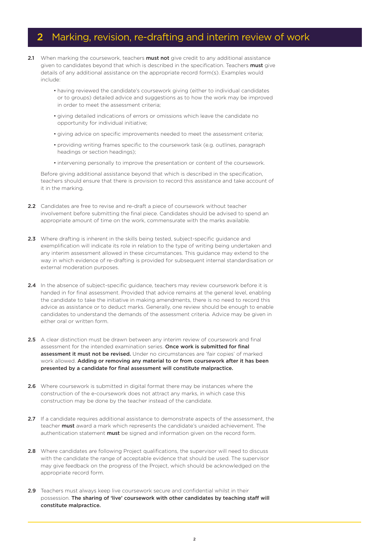### 2 Marking, revision, re-drafting and interim review of work

- 2.1 When marking the coursework, teachers must not give credit to any additional assistance given to candidates beyond that which is described in the specification. Teachers must give details of any additional assistance on the appropriate record form(s). Examples would include:
	- having reviewed the candidate's coursework giving (either to individual candidates or to groups) detailed advice and suggestions as to how the work may be improved in order to meet the assessment criteria;
	- giving detailed indications of errors or omissions which leave the candidate no opportunity for individual initiative;
	- giving advice on specific improvements needed to meet the assessment criteria;
	- providing writing frames specific to the coursework task (e.g. outlines, paragraph headings or section headings);
	- intervening personally to improve the presentation or content of the coursework.

Before giving additional assistance beyond that which is described in the specification, teachers should ensure that there is provision to record this assistance and take account of it in the marking.

- 2.2 Candidates are free to revise and re-draft a piece of coursework without teacher involvement before submitting the final piece. Candidates should be advised to spend an appropriate amount of time on the work, commensurate with the marks available.
- 2.3 Where drafting is inherent in the skills being tested, subject-specific guidance and exemplification will indicate its role in relation to the type of writing being undertaken and any interim assessment allowed in these circumstances. This guidance may extend to the way in which evidence of re-drafting is provided for subsequent internal standardisation or external moderation purposes.
- 2.4 In the absence of subject-specific guidance, teachers may review coursework before it is handed in for final assessment. Provided that advice remains at the general level, enabling the candidate to take the initiative in making amendments, there is no need to record this advice as assistance or to deduct marks. Generally, one review should be enough to enable candidates to understand the demands of the assessment criteria. Advice may be given in either oral or written form.
- 2.5 A clear distinction must be drawn between any interim review of coursework and final assessment for the intended examination series. Once work is submitted for final assessment it must not be revised. Under no circumstances are 'fair copies' of marked work allowed. Adding or removing any material to or from coursework after it has been presented by a candidate for final assessment will constitute malpractice.
- 2.6 Where coursework is submitted in digital format there may be instances where the construction of the e-coursework does not attract any marks, in which case this construction may be done by the teacher instead of the candidate.
- 2.7 If a candidate requires additional assistance to demonstrate aspects of the assessment, the teacher must award a mark which represents the candidate's unaided achievement. The authentication statement **must** be signed and information given on the record form.
- 2.8 Where candidates are following Project qualifications, the supervisor will need to discuss with the candidate the range of acceptable evidence that should be used. The supervisor may give feedback on the progress of the Project, which should be acknowledged on the appropriate record form.
- 2.9 Teachers must always keep live coursework secure and confidential whilst in their possession. The sharing of 'live' coursework with other candidates by teaching staff will constitute malpractice.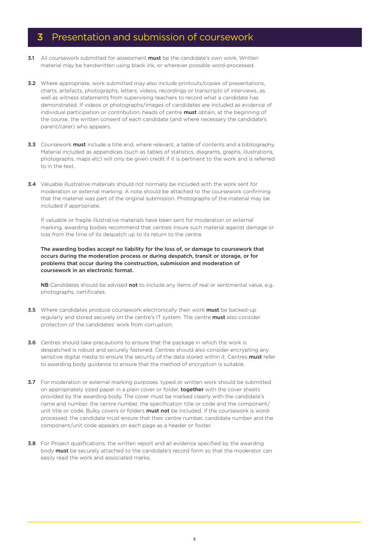### **3** Presentation and submission of coursework

- 3.1 All coursework submitted for assessment must be the candidate's own work. Written material may be handwritten using black ink, or wherever possible word-processed.
- **3.2** Where appropriate, work submitted may also include printouts/copies of presentations, charts, artefacts, photographs, letters, videos, recordings or transcripts of interviews, as well as witness statements from supervising teachers to record what a candidate has demonstrated. If videos or photographs/images of candidates are included as evidence of individual participation or contribution, heads of centre **must** obtain, at the beginning of the course, the written consent of each candidate (and where necessary the candidate's parent/carer) who appears.
- 3.3 Coursework must include a title and, where relevant, a table of contents and a bibliography. Material included as appendices (such as tables of statistics, diagrams, graphs, illustrations, photographs, maps etc) will only be given credit if it is pertinent to the work and is referred to in the text.
- 3.4 Valuable illustrative materials should not normally be included with the work sent for moderation or external marking. A note should be attached to the coursework confirming that the material was part of the original submission. Photographs of the material may be included if appropriate.

If valuable or fragile illustrative materials have been sent for moderation or external marking, awarding bodies recommend that centres insure such material against damage or loss from the time of its despatch up to its return to the centre.

The awarding bodies accept no liability for the loss of, or damage to coursework that occurs during the moderation process or during despatch, transit or storage, or for problems that occur during the construction, submission and moderation of coursework in an electronic format.

NB Candidates should be advised not to include any items of real or sentimental value, e.g. photographs, certificates.

- 3.5 Where candidates produce coursework electronically their work must be backed-up regularly and stored securely on the centre's IT system. The centre must also consider protection of the candidates' work from corruption.
- 3.6 Centres should take precautions to ensure that the package in which the work is despatched is robust and securely fastened. Centres should also consider encrypting any sensitive digital media to ensure the security of the data stored within it. Centres must refer to awarding body guidance to ensure that the method of encryption is suitable.
- 3.7 For moderation or external marking purposes, typed or written work should be submitted on appropriately sized paper in a plain cover or folder, together with the cover sheets provided by the awarding body. The cover must be marked clearly with the candidate's name and number, the centre number, the specification title or code and the component/ unit title or code. Bulky covers or folders **must not** be included. If the coursework is wordprocessed, the candidate must ensure that their centre number, candidate number and the component/unit code appears on each page as a header or footer.
- 3.8 For Project qualifications, the written report and all evidence specified by the awarding body must be securely attached to the candidate's record form so that the moderator can easily read the work and associated marks.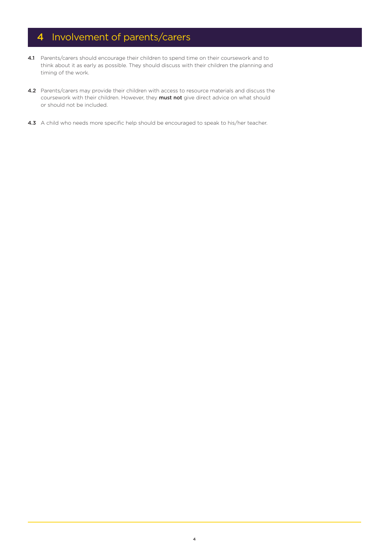# 4 Involvement of parents/carers

- 4.1 Parents/carers should encourage their children to spend time on their coursework and to think about it as early as possible. They should discuss with their children the planning and timing of the work.
- 4.2 Parents/carers may provide their children with access to resource materials and discuss the coursework with their children. However, they must not give direct advice on what should or should not be included.
- 4.3 A child who needs more specific help should be encouraged to speak to his/her teacher.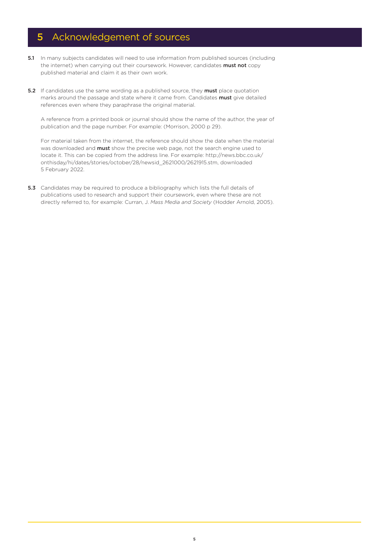# 5 Acknowledgement of sources

- 5.1 In many subjects candidates will need to use information from published sources (including the internet) when carrying out their coursework. However, candidates must not copy published material and claim it as their own work.
- 5.2 If candidates use the same wording as a published source, they must place quotation marks around the passage and state where it came from. Candidates must give detailed references even where they paraphrase the original material.

A reference from a printed book or journal should show the name of the author, the year of publication and the page number. For example: (Morrison, 2000 p 29).

For material taken from the internet, the reference should show the date when the material was downloaded and **must** show the precise web page, not the search engine used to locate it. This can be copied from the address line. For example: http://news.bbc.co.uk/ onthisday/hi/dates/stories/october/28/newsid\_2621000/2621915.stm, downloaded 5 February 2022.

5.3 Candidates may be required to produce a bibliography which lists the full details of publications used to research and support their coursework, even where these are not directly referred to, for example: Curran, J. *Mass Media and Society* (Hodder Arnold, 2005).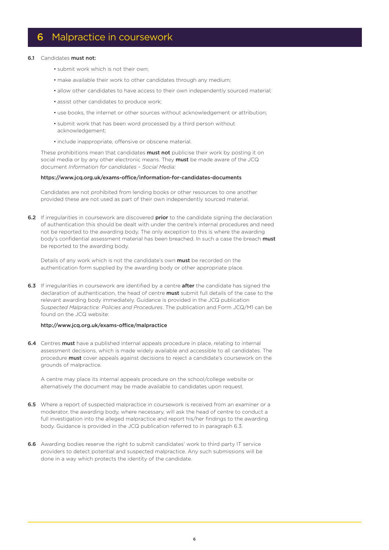### 6 Malpractice in coursework

#### 6.1 Candidates must not:

- submit work which is not their own;
- make available their work to other candidates through any medium;
- allow other candidates to have access to their own independently sourced material;
- assist other candidates to produce work;
- use books, the internet or other sources without acknowledgement or attribution;
- submit work that has been word processed by a third person without acknowledgement;
- include inappropriate, offensive or obscene material.

These prohibitions mean that candidates **must not** publicise their work by posting it on social media or by any other electronic means. They must be made aware of the JCQ document *Information for candidates – Social Media:* 

#### <https://www.jcq.org.uk/exams-office/information-for-candidates-documents>

Candidates are not prohibited from lending books or other resources to one another provided these are not used as part of their own independently sourced material.

6.2 If irregularities in coursework are discovered prior to the candidate signing the declaration of authentication this should be dealt with under the centre's internal procedures and need not be reported to the awarding body. The only exception to this is where the awarding body's confidential assessment material has been breached. In such a case the breach must be reported to the awarding body.

Details of any work which is not the candidate's own **must** be recorded on the authentication form supplied by the awarding body or other appropriate place.

6.3 If irregularities in coursework are identified by a centre after the candidate has signed the declaration of authentication, the head of centre **must** submit full details of the case to the relevant awarding body immediately. Guidance is provided in the JCQ publication *Suspected Malpractice: Policies and Procedures*. The publication and Form JCQ/M1 can be found on the JCQ website:

#### <http://www.jcq.org.uk/exams-office/malpractice>

6.4 Centres must have a published internal appeals procedure in place, relating to internal assessment decisions, which is made widely available and accessible to all candidates. The procedure must cover appeals against decisions to reject a candidate's coursework on the grounds of malpractice.

A centre may place its internal appeals procedure on the school/college website or alternatively the document may be made available to candidates upon request.

- **6.5** Where a report of suspected malpractice in coursework is received from an examiner or a moderator, the awarding body, where necessary, will ask the head of centre to conduct a full investigation into the alleged malpractice and report his/her findings to the awarding body. Guidance is provided in the JCQ publication referred to in paragraph 6.3.
- **6.6** Awarding bodies reserve the right to submit candidates' work to third party IT service providers to detect potential and suspected malpractice. Any such submissions will be done in a way which protects the identity of the candidate.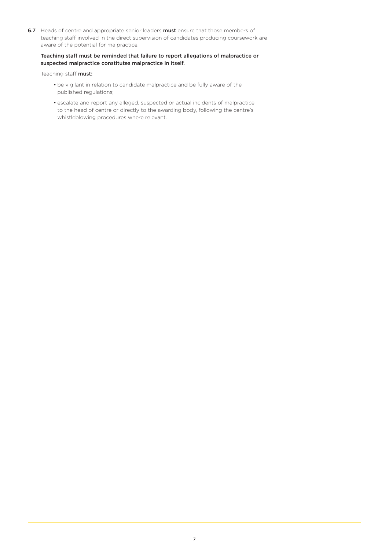6.7 Heads of centre and appropriate senior leaders must ensure that those members of teaching staff involved in the direct supervision of candidates producing coursework are aware of the potential for malpractice.

#### Teaching staff must be reminded that failure to report allegations of malpractice or suspected malpractice constitutes malpractice in itself.

Teaching staff must:

- be vigilant in relation to candidate malpractice and be fully aware of the published regulations;
- escalate and report any alleged, suspected or actual incidents of malpractice to the head of centre or directly to the awarding body, following the centre's whistleblowing procedures where relevant.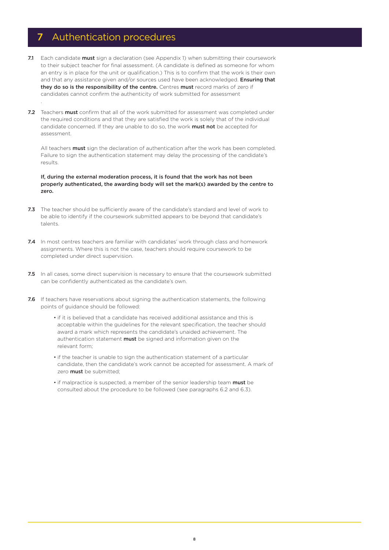### 7 Authentication procedures

- 7.1 Each candidate must sign a declaration (see Appendix 1) when submitting their coursework to their subject teacher for final assessment. (A candidate is defined as someone for whom an entry is in place for the unit or qualification.) This is to confirm that the work is their own and that any assistance given and/or sources used have been acknowledged. Ensuring that they do so is the responsibility of the centre. Centres must record marks of zero if candidates cannot confirm the authenticity of work submitted for assessment .
- 7.2 Teachers must confirm that all of the work submitted for assessment was completed under the required conditions and that they are satisfied the work is solely that of the individual candidate concerned. If they are unable to do so, the work must not be accepted for assessment.

All teachers **must** sign the declaration of authentication after the work has been completed. Failure to sign the authentication statement may delay the processing of the candidate's results.

If, during the external moderation process, it is found that the work has not been properly authenticated, the awarding body will set the mark(s) awarded by the centre to zero.

- 7.3 The teacher should be sufficiently aware of the candidate's standard and level of work to be able to identify if the coursework submitted appears to be beyond that candidate's talents.
- 7.4 In most centres teachers are familiar with candidates' work through class and homework assignments. Where this is not the case, teachers should require coursework to be completed under direct supervision.
- 7.5 In all cases, some direct supervision is necessary to ensure that the coursework submitted can be confidently authenticated as the candidate's own.
- 7.6 If teachers have reservations about signing the authentication statements, the following points of guidance should be followed:
	- if it is believed that a candidate has received additional assistance and this is acceptable within the guidelines for the relevant specification, the teacher should award a mark which represents the candidate's unaided achievement. The authentication statement **must** be signed and information given on the relevant form;
	- if the teacher is unable to sign the authentication statement of a particular candidate, then the candidate's work cannot be accepted for assessment. A mark of zero **must** be submitted;
	- if malpractice is suspected, a member of the senior leadership team must be consulted about the procedure to be followed (see paragraphs 6.2 and 6.3).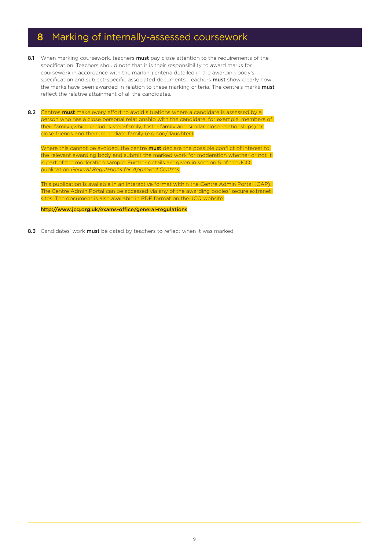# 8 Marking of internally-assessed coursework

- 8.1 When marking coursework, teachers must pay close attention to the requirements of the specification. Teachers should note that it is their responsibility to award marks for coursework in accordance with the marking criteria detailed in the awarding body's specification and subject-specific associated documents. Teachers must show clearly how the marks have been awarded in relation to these marking criteria. The centre's marks must reflect the relative attainment of all the candidates.
- 8.2 Centres must make every effort to avoid situations where a candidate is assessed by a person who has a close personal relationship with the candidate, for example, members of their family (which includes step-family, foster family and similar close relationships) or close friends and their immediate family (e.g son/daughter).

Where this cannot be avoided, the centre **must** declare the possible conflict of interest to the relevant awarding body and submit the marked work for moderation whether or not it is part of the moderation sample. Further details are given in section 5 of the JCQ publication *General Regulations for Approved Centres*.

This publication is available in an interactive format within the Centre Admin Portal (CAP). The Centre Admin Portal can be accessed via any of the awarding bodies' secure extranet sites. The document is also available in PDF format on the JCQ website:

<http://www.jcq.org.uk/exams-office/general-regulations>

8.3 Candidates' work must be dated by teachers to reflect when it was marked.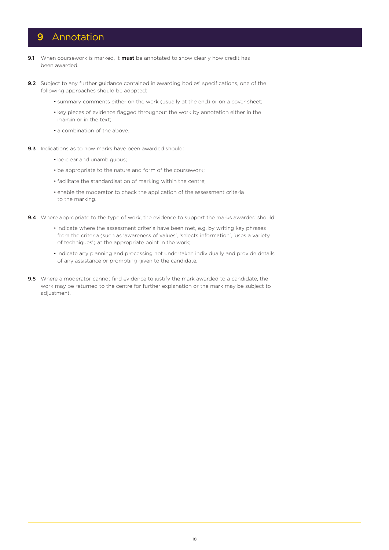### 9 Annotation

- 9.1 When coursework is marked, it **must** be annotated to show clearly how credit has been awarded.
- 9.2 Subject to any further guidance contained in awarding bodies' specifications, one of the following approaches should be adopted:
	- summary comments either on the work (usually at the end) or on a cover sheet;
	- key pieces of evidence flagged throughout the work by annotation either in the margin or in the text:
	- a combination of the above.
- 9.3 Indications as to how marks have been awarded should:
	- be clear and unambiguous;
	- be appropriate to the nature and form of the coursework;
	- facilitate the standardisation of marking within the centre;
	- enable the moderator to check the application of the assessment criteria to the marking.
- 9.4 Where appropriate to the type of work, the evidence to support the marks awarded should:
	- indicate where the assessment criteria have been met, e.g. by writing key phrases from the criteria (such as 'awareness of values', 'selects information', 'uses a variety of techniques') at the appropriate point in the work;
	- indicate any planning and processing not undertaken individually and provide details of any assistance or prompting given to the candidate.
- **9.5** Where a moderator cannot find evidence to justify the mark awarded to a candidate, the work may be returned to the centre for further explanation or the mark may be subject to adjustment.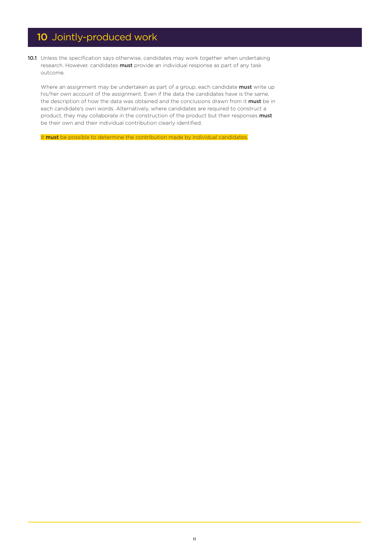# 10 Jointly-produced work

10.1 Unless the specification says otherwise, candidates may work together when undertaking research. However, candidates must provide an individual response as part of any task outcome.

Where an assignment may be undertaken as part of a group, each candidate must write up his/her own account of the assignment. Even if the data the candidates have is the same, the description of how the data was obtained and the conclusions drawn from it must be in each candidate's own words. Alternatively, where candidates are required to construct a product, they may collaborate in the construction of the product but their responses must be their own and their individual contribution clearly identified.

It must be possible to determine the contribution made by individual candidates.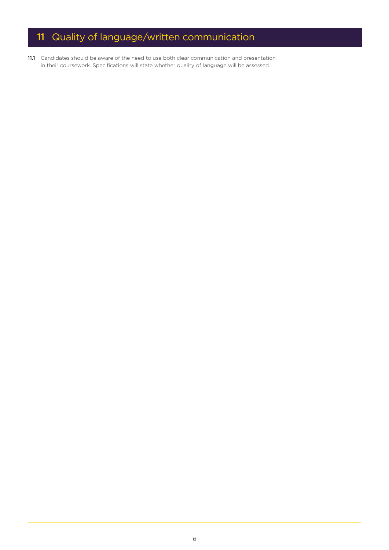# 11 Quality of language/written communication

11.1 Candidates should be aware of the need to use both clear communication and presentation in their coursework. Specifications will state whether quality of language will be assessed.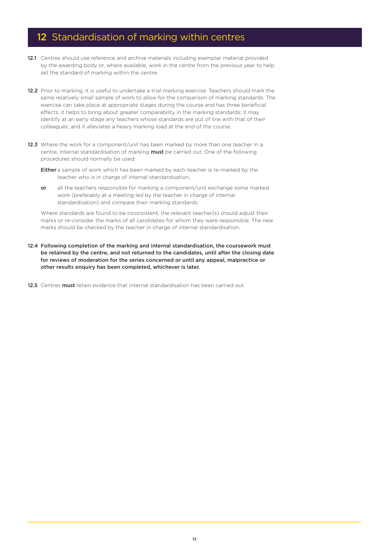# 12 Standardisation of marking within centres

- 12.1 Centres should use reference and archive materials including exemplar material provided by the awarding body or, where available, work in the centre from the previous year to help set the standard of marking within the centre.
- 12.2 Prior to marking, it is useful to undertake a trial marking exercise. Teachers should mark the same relatively small sample of work to allow for the comparison of marking standards. The exercise can take place at appropriate stages during the course and has three beneficial effects: it helps to bring about greater comparability in the marking standards; it may identify at an early stage any teachers whose standards are out of line with that of their colleagues; and it alleviates a heavy marking load at the end of the course.
- 12.3 Where the work for a component/unit has been marked by more than one teacher in a centre, internal standardisation of marking **must** be carried out. One of the following procedures should normally be used:
	- **Either** a sample of work which has been marked by each teacher is re-marked by the teacher who is in charge of internal standardisation;
	- or all the teachers responsible for marking a component/unit exchange some marked work (preferably at a meeting led by the teacher in charge of internal standardisation) and compare their marking standards.

Where standards are found to be inconsistent, the relevant teacher(s) should adjust their marks or re-consider the marks of all candidates for whom they were responsible. The new marks should be checked by the teacher in charge of internal standardisation.

- 12.4 Following completion of the marking and internal standardisation, the coursework must be retained by the centre, and not returned to the candidates, until after the closing date for reviews of moderation for the series concerned or until any appeal, malpractice or other results enquiry has been completed, whichever is later.
- 12.5 Centres must retain evidence that internal standardisation has been carried out.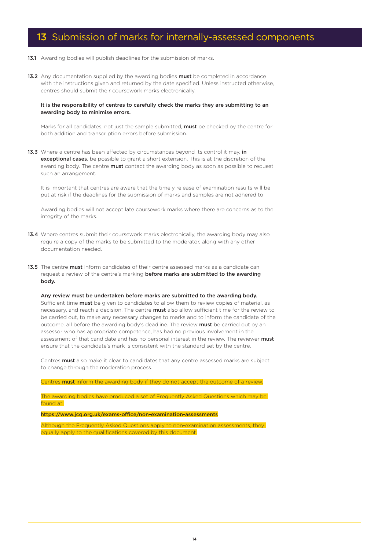# 13 Submission of marks for internally-assessed components

- 13.1 Awarding bodies will publish deadlines for the submission of marks.
- 13.2 Any documentation supplied by the awarding bodies must be completed in accordance with the instructions given and returned by the date specified. Unless instructed otherwise, centres should submit their coursework marks electronically.

#### It is the responsibility of centres to carefully check the marks they are submitting to an awarding body to minimise errors.

Marks for all candidates, not just the sample submitted, **must** be checked by the centre for both addition and transcription errors before submission.

13.3 Where a centre has been affected by circumstances beyond its control it may, in exceptional cases, be possible to grant a short extension. This is at the discretion of the awarding body. The centre **must** contact the awarding body as soon as possible to request such an arrangement.

It is important that centres are aware that the timely release of examination results will be put at risk if the deadlines for the submission of marks and samples are not adhered to

Awarding bodies will not accept late coursework marks where there are concerns as to the integrity of the marks.

- 13.4 Where centres submit their coursework marks electronically, the awarding body may also require a copy of the marks to be submitted to the moderator, along with any other documentation needed.
- 13.5 The centre must inform candidates of their centre assessed marks as a candidate can request a review of the centre's marking before marks are submitted to the awarding body.

Any review must be undertaken before marks are submitted to the awarding body. Sufficient time **must** be given to candidates to allow them to review copies of material, as necessary, and reach a decision. The centre **must** also allow sufficient time for the review to be carried out, to make any necessary changes to marks and to inform the candidate of the outcome, all before the awarding body's deadline. The review must be carried out by an assessor who has appropriate competence, has had no previous involvement in the assessment of that candidate and has no personal interest in the review. The reviewer must ensure that the candidate's mark is consistent with the standard set by the centre.

Centres **must** also make it clear to candidates that any centre assessed marks are subject to change through the moderation process.

Centres **must** inform the awarding body if they do not accept the outcome of a review.

The awarding bodies have produced a set of Frequently Asked Questions which may be found at:

<https://www.jcq.org.uk/exams-office/non-examination-assessments>

Although the Frequently Asked Questions apply to non-examination assessments, they equally apply to the qualifications covered by this document.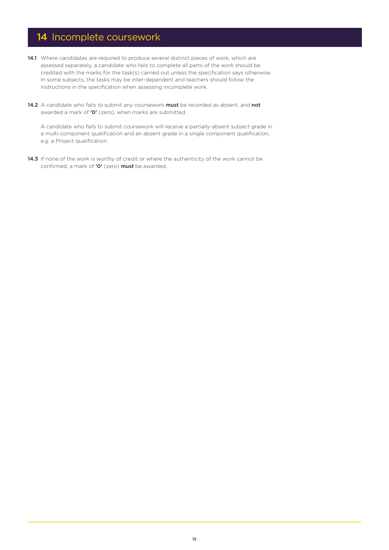# 14 Incomplete coursework

- 14.1 Where candidates are required to produce several distinct pieces of work, which are assessed separately, a candidate who fails to complete all parts of the work should be credited with the marks for the task(s) carried out unless the specification says otherwise. In some subjects, the tasks may be inter-dependent and teachers should follow the instructions in the specification when assessing incomplete work.
- 14.2 A candidate who fails to submit any coursework must be recorded as absent, and not awarded a mark of 'O' (zero), when marks are submitted.

A candidate who fails to submit coursework will receive a partially-absent subject grade in a multi-component qualification and an absent grade in a single component qualification, e.g. a Project qualification.

14.3 If none of the work is worthy of credit or where the authenticity of the work cannot be confirmed, a mark of 'O' (zero) must be awarded.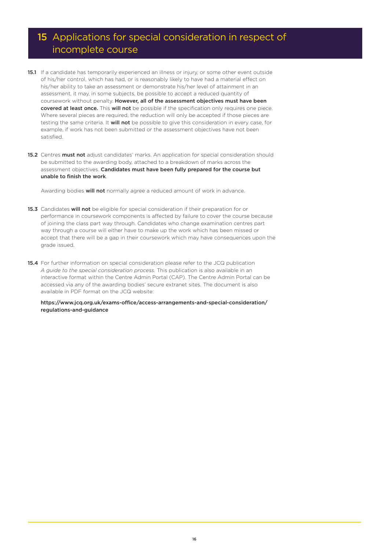# 15 Applications for special consideration in respect of incomplete course

- 15.1 If a candidate has temporarily experienced an illness or injury, or some other event outside of his/her control, which has had, or is reasonably likely to have had a material effect on his/her ability to take an assessment or demonstrate his/her level of attainment in an assessment, it may, in some subjects, be possible to accept a reduced quantity of coursework without penalty. However, all of the assessment objectives must have been covered at least once. This will not be possible if the specification only requires one piece. Where several pieces are required, the reduction will only be accepted if those pieces are testing the same criteria. It will not be possible to give this consideration in every case, for example, if work has not been submitted or the assessment objectives have not been satisfied.
- 15.2 Centres must not adjust candidates' marks. An application for special consideration should be submitted to the awarding body, attached to a breakdown of marks across the assessment objectives. Candidates must have been fully prepared for the course but unable to finish the work.

Awarding bodies **will not** normally agree a reduced amount of work in advance.

- 15.3 Candidates will not be eligible for special consideration if their preparation for or performance in coursework components is affected by failure to cover the course because of joining the class part way through. Candidates who change examination centres part way through a course will either have to make up the work which has been missed or accept that there will be a gap in their coursework which may have consequences upon the grade issued.
- 15.4 For further information on special consideration please refer to the JCQ publication *A guide to the special consideration process.* This publication is also available in an interactive format within the Centre Admin Portal (CAP). The Centre Admin Portal can be accessed via any of the awarding bodies' secure extranet sites. The document is also available in PDF format on the JCQ website:

[https://www.jcq.org.uk/exams-office/access-arrangements-and-special-consideration/](https://www.jcq.org.uk/exams-office/access-arrangements-and-special-consideration/regulations-and-guidance) [regulations-and-guidance](https://www.jcq.org.uk/exams-office/access-arrangements-and-special-consideration/regulations-and-guidance)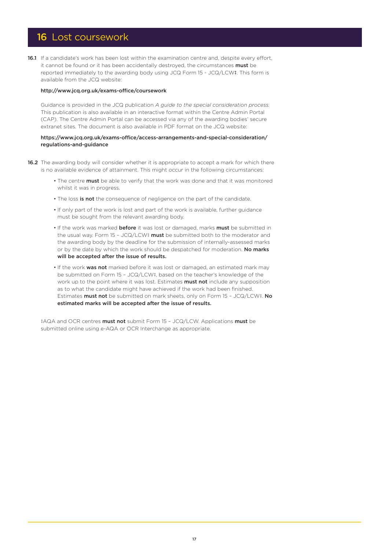### 16 Lost coursework

16.1 If a candidate's work has been lost within the examination centre and, despite every effort, it cannot be found or it has been accidentally destroyed, the circumstances must be reported immediately to the awarding body using JCQ Form 15 - JCQ/LCW‡. This form is available from the JCQ website:

#### http://www.jcq.org.uk/exams-office/coursework

Guidance is provided in the JCQ publication *A guide to the special consideration process.* This publication is also available in an interactive format within the Centre Admin Portal (CAP). The Centre Admin Portal can be accessed via any of the awarding bodies' secure extranet sites. The document is also available in PDF format on the JCQ website:

#### [https://www.jcq.org.uk/exams-office/access-arrangements-and-special-consideration/](https://www.jcq.org.uk/exams-office/access-arrangements-and-special-consideration/regulations-and-guidance) [regulations-and-guidance](https://www.jcq.org.uk/exams-office/access-arrangements-and-special-consideration/regulations-and-guidance)

- 16.2 The awarding body will consider whether it is appropriate to accept a mark for which there is no available evidence of attainment. This might occur in the following circumstances:
	- The centre must be able to verify that the work was done and that it was monitored whilst it was in progress.
	- The loss is not the consequence of negligence on the part of the candidate.
	- If only part of the work is lost and part of the work is available, further guidance must be sought from the relevant awarding body.
	- If the work was marked **before** it was lost or damaged, marks **must** be submitted in the usual way. Form 15 - JCQ/LCW‡ must be submitted both to the moderator and the awarding body by the deadline for the submission of internally-assessed marks or by the date by which the work should be despatched for moderation. No marks will be accepted after the issue of results.
	- If the work was not marked before it was lost or damaged, an estimated mark may be submitted on Form 15 – JCQ/LCW‡, based on the teacher's knowledge of the work up to the point where it was lost. Estimates **must not** include any supposition as to what the candidate might have achieved if the work had been finished. Estimates must not be submitted on mark sheets, only on Form 15 – JCQ/LCW‡. No estimated marks will be accepted after the issue of results.

‡AQA and OCR centres must not submit Form 15 – JCQ/LCW. Applications must be submitted online using e-AQA or OCR Interchange as appropriate.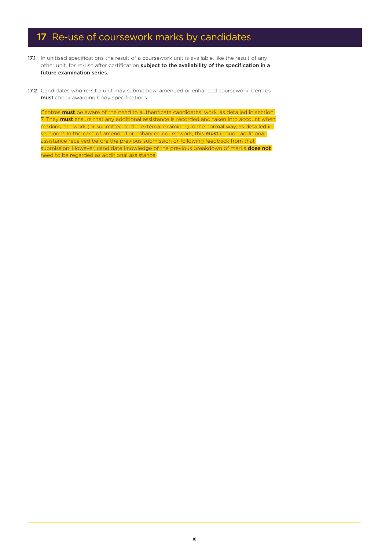# 17 Re-use of coursework marks by candidates

- 17.1 In unitised specifications the result of a coursework unit is available, like the result of any other unit, for re-use after certification subject to the availability of the specification in a future examination series.
- 17.2 Candidates who re-sit a unit may submit new, amended or enhanced coursework. Centres must check awarding body specifications.

Centres **must** be aware of the need to authenticate candidates' work, as detailed in section 7. They **must** ensure that any additional assistance is recorded and taken into account when marking the work (or submitted to the external examiner) in the normal way, as detailed in section 2. In the case of amended or enhanced coursework, this **must** include additional assistance received before the previous submission or following feedback from that submission. However, candidate knowledge of the previous breakdown of marks **does not** need to be regarded as additional assistance.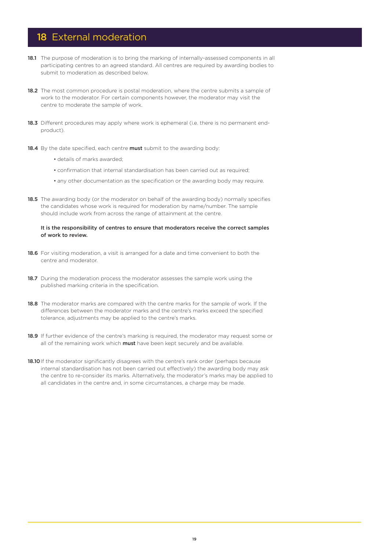### 18 External moderation

- 18.1 The purpose of moderation is to bring the marking of internally-assessed components in all participating centres to an agreed standard. All centres are required by awarding bodies to submit to moderation as described below.
- 18.2 The most common procedure is postal moderation, where the centre submits a sample of work to the moderator. For certain components however, the moderator may visit the centre to moderate the sample of work.
- 18.3 Different procedures may apply where work is ephemeral (i.e. there is no permanent endproduct).
- 18.4 By the date specified, each centre must submit to the awarding body:
	- details of marks awarded;
	- confirmation that internal standardisation has been carried out as required;
	- any other documentation as the specification or the awarding body may require.
- 18.5 The awarding body (or the moderator on behalf of the awarding body) normally specifies the candidates whose work is required for moderation by name/number. The sample should include work from across the range of attainment at the centre.

#### It is the responsibility of centres to ensure that moderators receive the correct samples of work to review.

- 18.6 For visiting moderation, a visit is arranged for a date and time convenient to both the centre and moderator.
- 18.7 During the moderation process the moderator assesses the sample work using the published marking criteria in the specification.
- 18.8 The moderator marks are compared with the centre marks for the sample of work. If the differences between the moderator marks and the centre's marks exceed the specified tolerance, adjustments may be applied to the centre's marks.
- 18.9 If further evidence of the centre's marking is required, the moderator may request some or all of the remaining work which must have been kept securely and be available.
- 18.10 If the moderator significantly disagrees with the centre's rank order (perhaps because internal standardisation has not been carried out effectively) the awarding body may ask the centre to re-consider its marks. Alternatively, the moderator's marks may be applied to all candidates in the centre and, in some circumstances, a charge may be made.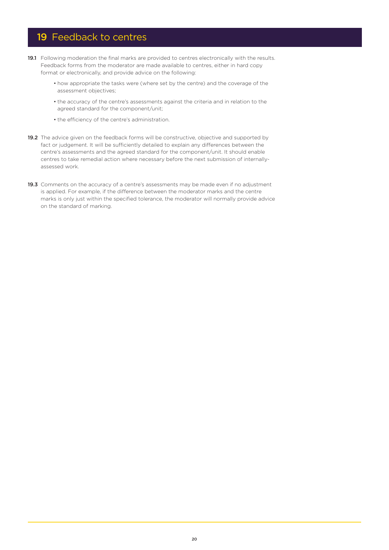### 19 Feedback to centres

- 19.1 Following moderation the final marks are provided to centres electronically with the results. Feedback forms from the moderator are made available to centres, either in hard copy format or electronically, and provide advice on the following:
	- how appropriate the tasks were (where set by the centre) and the coverage of the assessment objectives;
	- the accuracy of the centre's assessments against the criteria and in relation to the agreed standard for the component/unit;
	- the efficiency of the centre's administration.
- 19.2 The advice given on the feedback forms will be constructive, objective and supported by fact or judgement. It will be sufficiently detailed to explain any differences between the centre's assessments and the agreed standard for the component/unit. It should enable centres to take remedial action where necessary before the next submission of internallyassessed work.
- 19.3 Comments on the accuracy of a centre's assessments may be made even if no adjustment is applied. For example, if the difference between the moderator marks and the centre marks is only just within the specified tolerance, the moderator will normally provide advice on the standard of marking.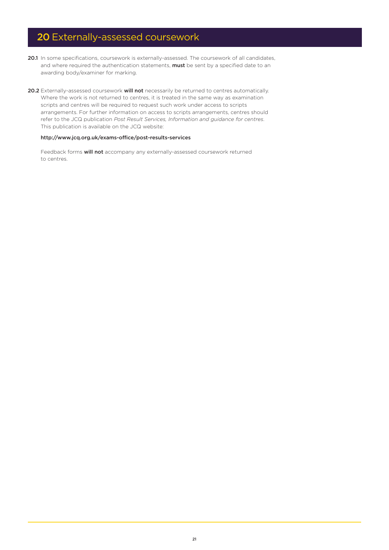# 20 Externally-assessed coursework

- 20.1 In some specifications, coursework is externally-assessed. The coursework of all candidates, and where required the authentication statements, must be sent by a specified date to an awarding body/examiner for marking.
- 20.2 Externally-assessed coursework will not necessarily be returned to centres automatically. Where the work is not returned to centres, it is treated in the same way as examination scripts and centres will be required to request such work under access to scripts arrangements. For further information on access to scripts arrangements, centres should refer to the JCQ publication *Post Result Services, Information and guidance for centres*. This publication is available on the JCQ website:

#### <http://www.jcq.org.uk/exams-office/post-results-services>

Feedback forms will not accompany any externally-assessed coursework returned to centres.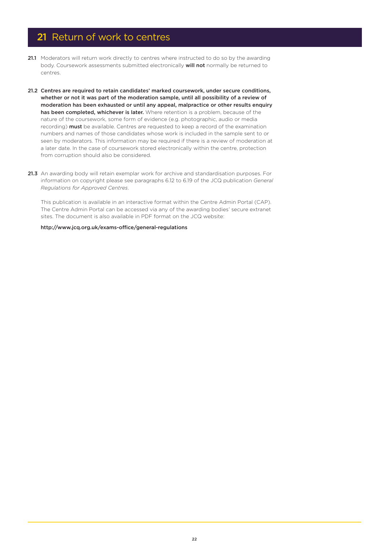### 21 Return of work to centres

- 21.1 Moderators will return work directly to centres where instructed to do so by the awarding body. Coursework assessments submitted electronically will not normally be returned to centres.
- 21.2 Centres are required to retain candidates' marked coursework, under secure conditions, whether or not it was part of the moderation sample, until all possibility of a review of moderation has been exhausted or until any appeal, malpractice or other results enquiry has been completed, whichever is later. Where retention is a problem, because of the nature of the coursework, some form of evidence (e.g. photographic, audio or media recording) must be available. Centres are requested to keep a record of the examination numbers and names of those candidates whose work is included in the sample sent to or seen by moderators. This information may be required if there is a review of moderation at a later date. In the case of coursework stored electronically within the centre, protection from corruption should also be considered.
- 21.3 An awarding body will retain exemplar work for archive and standardisation purposes. For information on copyright please see paragraphs 6.12 to 6.19 of the JCQ publication *General Regulations for Approved Centres*.

This publication is available in an interactive format within the Centre Admin Portal (CAP). The Centre Admin Portal can be accessed via any of the awarding bodies' secure extranet sites. The document is also available in PDF format on the JCQ website:

#### <http://www.jcq.org.uk/exams-office/general-regulations>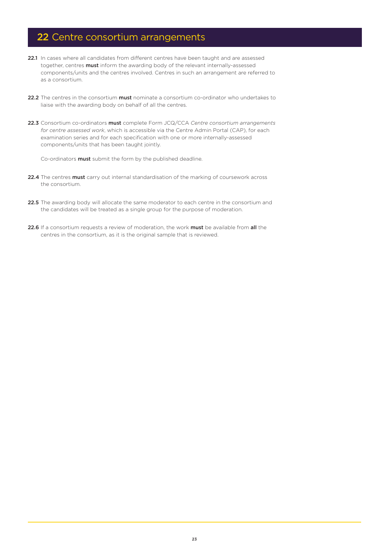# 22 Centre consortium arrangements

- 22.1 In cases where all candidates from different centres have been taught and are assessed together, centres must inform the awarding body of the relevant internally-assessed components/units and the centres involved. Centres in such an arrangement are referred to as a consortium.
- 22.2 The centres in the consortium must nominate a consortium co-ordinator who undertakes to liaise with the awarding body on behalf of all the centres.
- 22.3 Consortium co-ordinators must complete Form JCQ/CCA *Centre consortium arrangements for centre assessed work*, which is accessible via the Centre Admin Portal (CAP), for each examination series and for each specification with one or more internally-assessed components/units that has been taught jointly.

Co-ordinators **must** submit the form by the published deadline.

- 22.4 The centres must carry out internal standardisation of the marking of coursework across the consortium.
- 22.5 The awarding body will allocate the same moderator to each centre in the consortium and the candidates will be treated as a single group for the purpose of moderation.
- 22.6 If a consortium requests a review of moderation, the work must be available from all the centres in the consortium, as it is the original sample that is reviewed.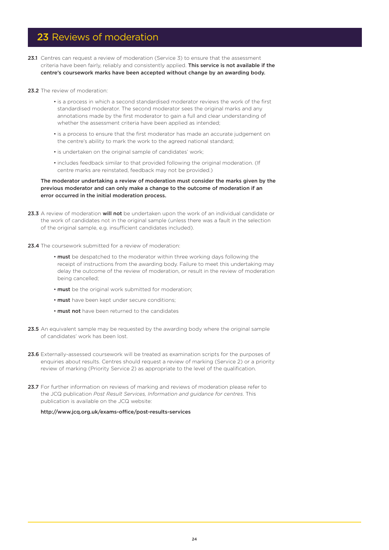### 23 Reviews of moderation

- 23.1 Centres can request a review of moderation (Service 3) to ensure that the assessment criteria have been fairly, reliably and consistently applied. This service is not available if the centre's coursework marks have been accepted without change by an awarding body.
- 23.2 The review of moderation:
	- is a process in which a second standardised moderator reviews the work of the first standardised moderator. The second moderator sees the original marks and any annotations made by the first moderator to gain a full and clear understanding of whether the assessment criteria have been applied as intended;
	- is a process to ensure that the first moderator has made an accurate judgement on the centre's ability to mark the work to the agreed national standard;
	- is undertaken on the original sample of candidates' work;
	- includes feedback similar to that provided following the original moderation. (If centre marks are reinstated, feedback may not be provided.)

#### The moderator undertaking a review of moderation must consider the marks given by the previous moderator and can only make a change to the outcome of moderation if an error occurred in the initial moderation process.

- 23.3 A review of moderation will not be undertaken upon the work of an individual candidate or the work of candidates not in the original sample (unless there was a fault in the selection of the original sample, e.g. insufficient candidates included).
- 23.4 The coursework submitted for a review of moderation:
	- must be despatched to the moderator within three working days following the receipt of instructions from the awarding body. Failure to meet this undertaking may delay the outcome of the review of moderation, or result in the review of moderation being cancelled;
	- must be the original work submitted for moderation;
	- must have been kept under secure conditions;
	- must not have been returned to the candidates
- 23.5 An equivalent sample may be requested by the awarding body where the original sample of candidates' work has been lost.
- 23.6 Externally-assessed coursework will be treated as examination scripts for the purposes of enquiries about results. Centres should request a review of marking (Service 2) or a priority review of marking (Priority Service 2) as appropriate to the level of the qualification.
- 23.7 For further information on reviews of marking and reviews of moderation please refer to the JCQ publication *Post Result Services, Information and guidance for centres*. This publication is available on the JCQ website:

<http://www.jcq.org.uk/exams-office/post-results-services>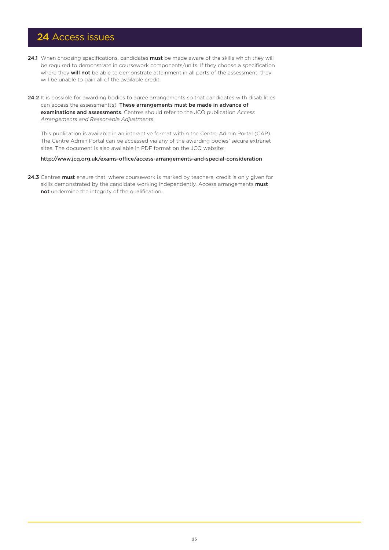### 24 Access issues

- 24.1 When choosing specifications, candidates must be made aware of the skills which they will be required to demonstrate in coursework components/units. If they choose a specification where they **will not** be able to demonstrate attainment in all parts of the assessment, they will be unable to gain all of the available credit.
- 24.2 It is possible for awarding bodies to agree arrangements so that candidates with disabilities can access the assessment(s). These arrangements must be made in advance of examinations and assessments. Centres should refer to the JCQ publication *Access Arrangements and Reasonable Adjustments*.

This publication is available in an interactive format within the Centre Admin Portal (CAP). The Centre Admin Portal can be accessed via any of the awarding bodies' secure extranet sites. The document is also available in PDF format on the JCQ website:

#### <http://www.jcq.org.uk/exams-office/access-arrangements-and-special-consideration>

24.3 Centres must ensure that, where coursework is marked by teachers, credit is only given for skills demonstrated by the candidate working independently. Access arrangements must not undermine the integrity of the qualification.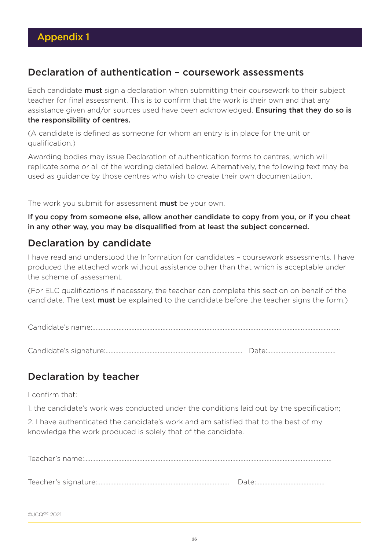### Declaration of authentication – coursework assessments

Each candidate **must** sign a declaration when submitting their coursework to their subject teacher for final assessment. This is to confirm that the work is their own and that any assistance given and/or sources used have been acknowledged. Ensuring that they do so is the responsibility of centres.

(A candidate is defined as someone for whom an entry is in place for the unit or qualification.)

Awarding bodies may issue Declaration of authentication forms to centres, which will replicate some or all of the wording detailed below. Alternatively, the following text may be used as guidance by those centres who wish to create their own documentation.

The work you submit for assessment **must** be your own.

If you copy from someone else, allow another candidate to copy from you, or if you cheat in any other way, you may be disqualified from at least the subject concerned.

# Declaration by candidate

I have read and understood the Information for candidates – coursework assessments. I have produced the attached work without assistance other than that which is acceptable under the scheme of assessment.

(For ELC qualifications if necessary, the teacher can complete this section on behalf of the candidate. The text **must** be explained to the candidate before the teacher signs the form.)

Candidate's name:………………………………………………………………….………………………………………………………………….

Candidate's signature:………………………………………………………………………… Date:……………………………………

# Declaration by teacher

I confirm that:

1. the candidate's work was conducted under the conditions laid out by the specification;

2. I have authenticated the candidate's work and am satisfied that to the best of my knowledge the work produced is solely that of the candidate.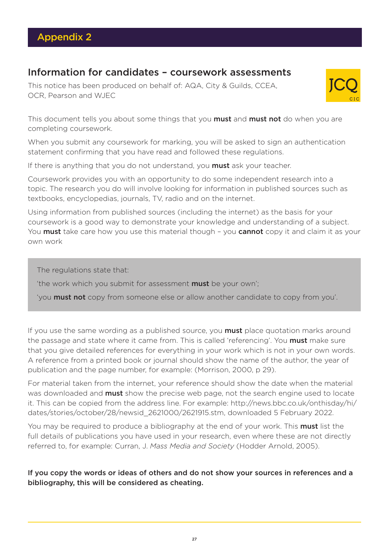### Information for candidates – coursework assessments

This notice has been produced on behalf of: AQA, City & Guilds, CCEA, OCR, Pearson and WJEC



This document tells you about some things that you **must** and **must not** do when you are completing coursework.

When you submit any coursework for marking, you will be asked to sign an authentication statement confirming that you have read and followed these regulations.

If there is anything that you do not understand, you **must** ask your teacher.

Coursework provides you with an opportunity to do some independent research into a topic. The research you do will involve looking for information in published sources such as textbooks, encyclopedias, journals, TV, radio and on the internet.

Using information from published sources (including the internet) as the basis for your coursework is a good way to demonstrate your knowledge and understanding of a subject. You must take care how you use this material though - you cannot copy it and claim it as your own work

The regulations state that:

'the work which you submit for assessment must be your own';

'you must not copy from someone else or allow another candidate to copy from you'.

If you use the same wording as a published source, you **must** place quotation marks around the passage and state where it came from. This is called 'referencing'. You **must** make sure that you give detailed references for everything in your work which is not in your own words. A reference from a printed book or journal should show the name of the author, the year of publication and the page number, for example: (Morrison, 2000, p 29).

For material taken from the internet, your reference should show the date when the material was downloaded and **must** show the precise web page, not the search engine used to locate it. This can be copied from the address line. For example: http://news.bbc.co.uk/onthisday/hi/ dates/stories/october/28/newsid\_2621000/2621915.stm, downloaded 5 February 2022.

You may be required to produce a bibliography at the end of your work. This **must** list the full details of publications you have used in your research, even where these are not directly referred to, for example: Curran, J. *Mass Media and Society* (Hodder Arnold, 2005).

If you copy the words or ideas of others and do not show your sources in references and a bibliography, this will be considered as cheating.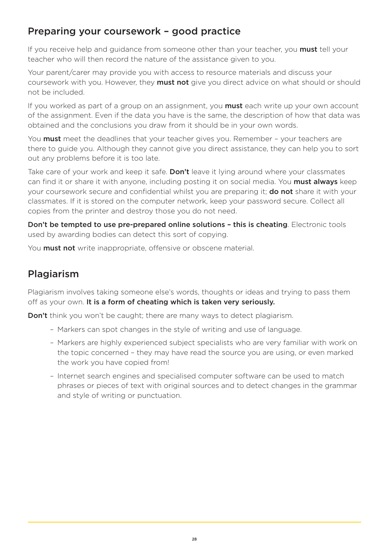# Preparing your coursework – good practice

If you receive help and guidance from someone other than your teacher, you **must** tell your teacher who will then record the nature of the assistance given to you.

Your parent/carer may provide you with access to resource materials and discuss your coursework with you. However, they **must not** give you direct advice on what should or should not be included.

If you worked as part of a group on an assignment, you **must** each write up your own account of the assignment. Even if the data you have is the same, the description of how that data was obtained and the conclusions you draw from it should be in your own words.

You **must** meet the deadlines that your teacher gives you. Remember - your teachers are there to guide you. Although they cannot give you direct assistance, they can help you to sort out any problems before it is too late.

Take care of your work and keep it safe. **Don't** leave it lying around where your classmates can find it or share it with anyone, including posting it on social media. You must always keep your coursework secure and confidential whilst you are preparing it; **do not** share it with your classmates. If it is stored on the computer network, keep your password secure. Collect all copies from the printer and destroy those you do not need.

Don't be tempted to use pre-prepared online solutions - this is cheating. Electronic tools used by awarding bodies can detect this sort of copying.

You **must not** write inappropriate, offensive or obscene material.

# Plagiarism

Plagiarism involves taking someone else's words, thoughts or ideas and trying to pass them off as your own. It is a form of cheating which is taken very seriously.

**Don't** think you won't be caught; there are many ways to detect plagiarism.

- Markers can spot changes in the style of writing and use of language.
- Markers are highly experienced subject specialists who are very familiar with work on the topic concerned – they may have read the source you are using, or even marked the work you have copied from!
- Internet search engines and specialised computer software can be used to match phrases or pieces of text with original sources and to detect changes in the grammar and style of writing or punctuation.